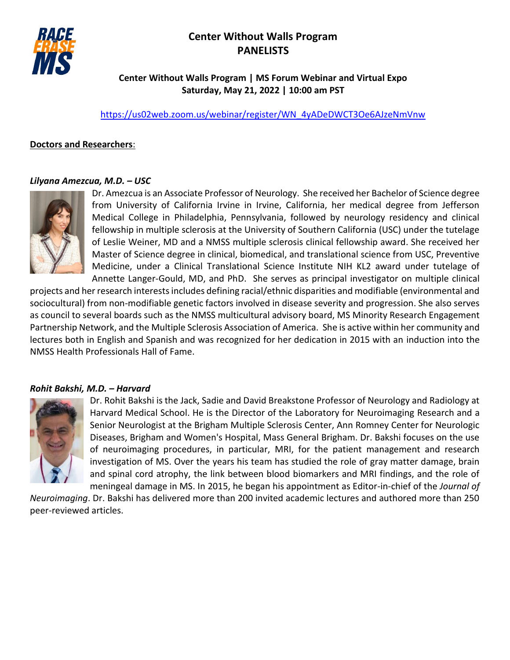# **Center Without Walls Program PANELISTS**



# **Center Without Walls Program | MS Forum Webinar and Virtual Expo Saturday, May 21, 2022 | 10:00 am PST**

[https://us02web.zoom.us/webinar/register/WN\\_4yADeDWCT3Oe6AJzeNmVnw](https://us02web.zoom.us/webinar/register/WN_4yADeDWCT3Oe6AJzeNmVnw)

# **Doctors and Researchers**:

### *Lilyana Amezcua, M.D. – USC*



Dr. Amezcua is an Associate Professor of Neurology. She received her Bachelor of Science degree from University of California Irvine in Irvine, California, her medical degree from Jefferson Medical College in Philadelphia, Pennsylvania, followed by neurology residency and clinical fellowship in multiple sclerosis at the University of Southern California (USC) under the tutelage of Leslie Weiner, MD and a NMSS multiple sclerosis clinical fellowship award. She received her Master of Science degree in clinical, biomedical, and translational science from USC, Preventive Medicine, under a Clinical Translational Science Institute NIH KL2 award under tutelage of Annette Langer-Gould, MD, and PhD. She serves as principal investigator on multiple clinical

projects and her research interests includes defining racial/ethnic disparities and modifiable (environmental and sociocultural) from non-modifiable genetic factors involved in disease severity and progression. She also serves as council to several boards such as the NMSS multicultural advisory board, MS Minority Research Engagement Partnership Network, and the Multiple Sclerosis Association of America. She is active within her community and lectures both in English and Spanish and was recognized for her dedication in 2015 with an induction into the NMSS Health Professionals Hall of Fame.

# *Rohit Bakshi, M.D. – Harvard*



Dr. Rohit Bakshi is the Jack, Sadie and David Breakstone Professor of Neurology and Radiology at Harvard Medical School. He is the Director of the Laboratory for Neuroimaging Research and a Senior Neurologist at the Brigham Multiple Sclerosis Center, Ann Romney Center for Neurologic Diseases, Brigham and Women's Hospital, Mass General Brigham. Dr. Bakshi focuses on the use of neuroimaging procedures, in particular, MRI, for the patient management and research investigation of MS. Over the years his team has studied the role of gray matter damage, brain and spinal cord atrophy, the link between blood biomarkers and MRI findings, and the role of meningeal damage in MS. In 2015, he began his appointment as Editor-in-chief of the *Journal of* 

*Neuroimaging*. Dr. Bakshi has delivered more than 200 invited academic lectures and authored more than 250 peer-reviewed articles.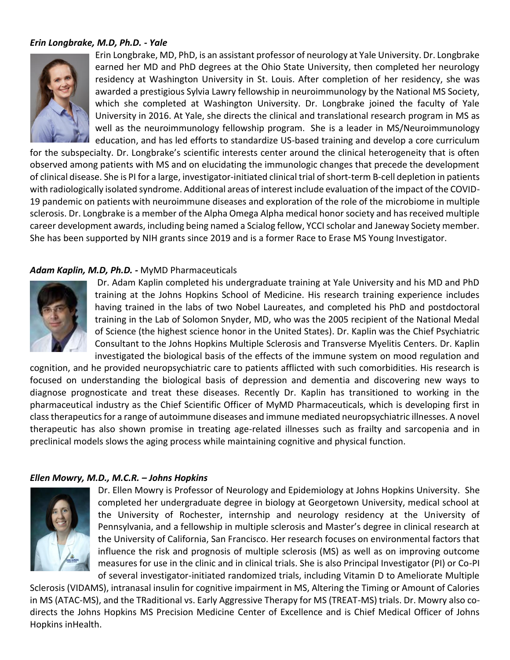# *Erin Longbrake, M.D, Ph.D. - Yale*



Erin Longbrake, MD, PhD, is an assistant professor of neurology at Yale University. Dr. Longbrake earned her MD and PhD degrees at the Ohio State University, then completed her neurology residency at Washington University in St. Louis. After completion of her residency, she was awarded a prestigious Sylvia Lawry fellowship in neuroimmunology by the National MS Society, which she completed at Washington University. Dr. Longbrake joined the faculty of Yale University in 2016. At Yale, she directs the clinical and translational research program in MS as well as the neuroimmunology fellowship program. She is a leader in MS/Neuroimmunology education, and has led efforts to standardize US-based training and develop a core curriculum

for the subspecialty. Dr. Longbrake's scientific interests center around the clinical heterogeneity that is often observed among patients with MS and on elucidating the immunologic changes that precede the development of clinical disease. She is PI for a large, investigator-initiated clinical trial of short-term B-cell depletion in patients with radiologically isolated syndrome. Additional areas of interest include evaluation of the impact of the COVID-19 pandemic on patients with neuroimmune diseases and exploration of the role of the microbiome in multiple sclerosis. Dr. Longbrake is a member of the Alpha Omega Alpha medical honor society and has received multiple career development awards, including being named a Scialog fellow, YCCI scholar and Janeway Society member. She has been supported by NIH grants since 2019 and is a former Race to Erase MS Young Investigator.

## *Adam Kaplin, M.D, Ph.D. -* MyMD Pharmaceuticals



Dr. Adam Kaplin completed his undergraduate training at Yale University and his MD and PhD training at the Johns Hopkins School of Medicine. His research training experience includes having trained in the labs of two Nobel Laureates, and completed his PhD and postdoctoral training in the Lab of Solomon Snyder, MD, who was the 2005 recipient of the National Medal of Science (the highest science honor in the United States). Dr. Kaplin was the Chief Psychiatric Consultant to the Johns Hopkins Multiple Sclerosis and Transverse Myelitis Centers. Dr. Kaplin investigated the biological basis of the effects of the immune system on mood regulation and

cognition, and he provided neuropsychiatric care to patients afflicted with such comorbidities. His research is focused on understanding the biological basis of depression and dementia and discovering new ways to diagnose prognosticate and treat these diseases. Recently Dr. Kaplin has transitioned to working in the pharmaceutical industry as the Chief Scientific Officer of MyMD Pharmaceuticals, which is developing first in class therapeutics for a range of autoimmune diseases and immune mediated neuropsychiatric illnesses. A novel therapeutic has also shown promise in treating age-related illnesses such as frailty and sarcopenia and in preclinical models slows the aging process while maintaining cognitive and physical function.

## *Ellen Mowry, M.D., M.C.R. – Johns Hopkins*



Dr. Ellen Mowry is Professor of Neurology and Epidemiology at Johns Hopkins University. She completed her undergraduate degree in biology at Georgetown University, medical school at the University of Rochester, internship and neurology residency at the University of Pennsylvania, and a fellowship in multiple sclerosis and Master's degree in clinical research at the University of California, San Francisco. Her research focuses on environmental factors that influence the risk and prognosis of multiple sclerosis (MS) as well as on improving outcome measures for use in the clinic and in clinical trials. She is also Principal Investigator (PI) or Co-PI of several investigator-initiated randomized trials, including Vitamin D to Ameliorate Multiple

Sclerosis (VIDAMS), intranasal insulin for cognitive impairment in MS, Altering the Timing or Amount of Calories in MS (ATAC-MS), and the TRaditional vs. Early Aggressive Therapy for MS (TREAT-MS) trials. Dr. Mowry also codirects the Johns Hopkins MS Precision Medicine Center of Excellence and is Chief Medical Officer of Johns Hopkins inHealth.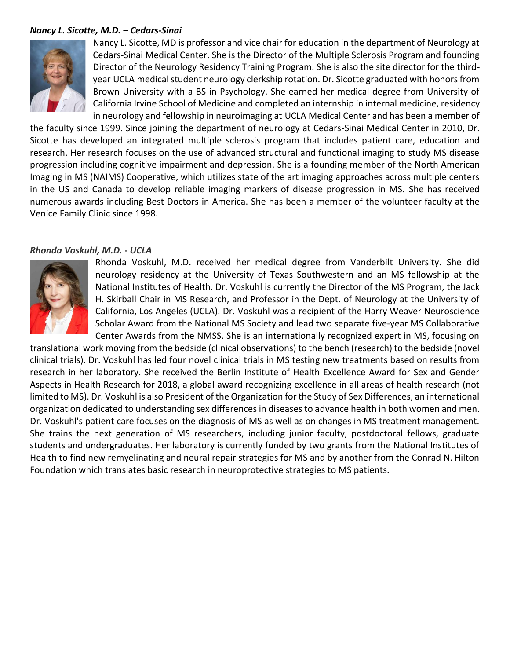### *Nancy L. Sicotte, M.D. – Cedars-Sinai*



Nancy L. Sicotte, MD is professor and vice chair for education in the department of Neurology at Cedars-Sinai Medical Center. She is the Director of the Multiple Sclerosis Program and founding Director of the Neurology Residency Training Program. She is also the site director for the thirdyear UCLA medical student neurology clerkship rotation. Dr. Sicotte graduated with honors from Brown University with a BS in Psychology. She earned her medical degree from University of California Irvine School of Medicine and completed an internship in internal medicine, residency in neurology and fellowship in neuroimaging at UCLA Medical Center and has been a member of

the faculty since 1999. Since joining the department of neurology at Cedars-Sinai Medical Center in 2010, Dr. Sicotte has developed an integrated multiple sclerosis program that includes patient care, education and research. Her research focuses on the use of advanced structural and functional imaging to study MS disease progression including cognitive impairment and depression. She is a founding member of the North American Imaging in MS (NAIMS) Cooperative, which utilizes state of the art imaging approaches across multiple centers in the US and Canada to develop reliable imaging markers of disease progression in MS. She has received numerous awards including Best Doctors in America. She has been a member of the volunteer faculty at the Venice Family Clinic since 1998.

#### *Rhonda Voskuhl, M.D. - UCLA*



Rhonda Voskuhl, M.D. received her medical degree from Vanderbilt University. She did neurology residency at the University of Texas Southwestern and an MS fellowship at the National Institutes of Health. Dr. Voskuhl is currently the Director of the MS Program, the Jack H. Skirball Chair in MS Research, and Professor in the Dept. of Neurology at the University of California, Los Angeles (UCLA). Dr. Voskuhl was a recipient of the Harry Weaver Neuroscience Scholar Award from the National MS Society and lead two separate five-year MS Collaborative Center Awards from the NMSS. She is an internationally recognized expert in MS, focusing on

translational work moving from the bedside (clinical observations) to the bench (research) to the bedside (novel clinical trials). Dr. Voskuhl has led four novel clinical trials in MS testing new treatments based on results from research in her laboratory. She received the Berlin Institute of Health Excellence Award for Sex and Gender Aspects in Health Research for 2018, a global award recognizing excellence in all areas of health research (not limited to MS). Dr. Voskuhl is also President of the Organization for the Study of Sex Differences, an international organization dedicated to understanding sex differences in diseases to advance health in both women and men. Dr. Voskuhl's patient care focuses on the diagnosis of MS as well as on changes in MS treatment management. She trains the next generation of MS researchers, including junior faculty, postdoctoral fellows, graduate students and undergraduates. Her laboratory is currently funded by two grants from the National Institutes of Health to find new remyelinating and neural repair strategies for MS and by another from the Conrad N. Hilton Foundation which translates basic research in neuroprotective strategies to MS patients.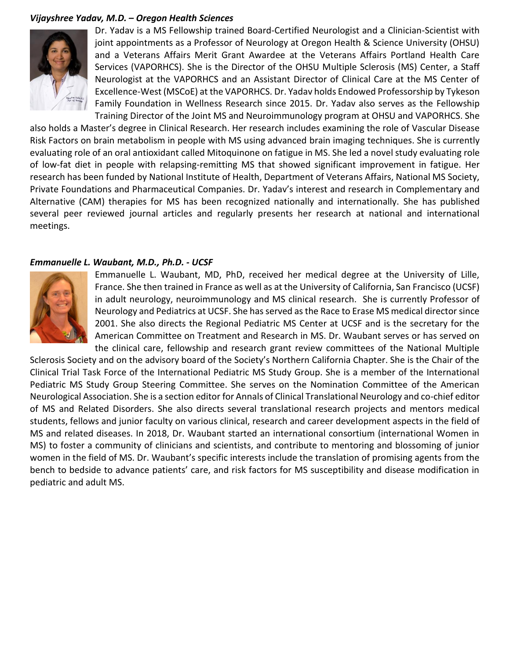### *Vijayshree Yadav, M.D. – Oregon Health Sciences*



Dr. Yadav is a MS Fellowship trained Board-Certified Neurologist and a Clinician-Scientist with joint appointments as a Professor of Neurology at Oregon Health & Science University (OHSU) and a Veterans Affairs Merit Grant Awardee at the Veterans Affairs Portland Health Care Services (VAPORHCS). She is the Director of the OHSU Multiple Sclerosis (MS) Center, a Staff Neurologist at the VAPORHCS and an Assistant Director of Clinical Care at the MS Center of Excellence-West (MSCoE) at the VAPORHCS. Dr. Yadav holds Endowed Professorship by Tykeson Family Foundation in Wellness Research since 2015. Dr. Yadav also serves as the Fellowship Training Director of the Joint MS and Neuroimmunology program at OHSU and VAPORHCS. She

also holds a Master's degree in Clinical Research. Her research includes examining the role of Vascular Disease Risk Factors on brain metabolism in people with MS using advanced brain imaging techniques. She is currently evaluating role of an oral antioxidant called Mitoquinone on fatigue in MS. She led a novel study evaluating role of low-fat diet in people with relapsing-remitting MS that showed significant improvement in fatigue. Her research has been funded by National Institute of Health, Department of Veterans Affairs, National MS Society, Private Foundations and Pharmaceutical Companies. Dr. Yadav's interest and research in Complementary and Alternative (CAM) therapies for MS has been recognized nationally and internationally. She has published several peer reviewed journal articles and regularly presents her research at national and international meetings.

#### *Emmanuelle L. Waubant, M.D., Ph.D. - UCSF*



Emmanuelle L. Waubant, MD, PhD, received her medical degree at the University of Lille, France. She then trained in France as well as at the University of California, San Francisco (UCSF) in adult neurology, neuroimmunology and MS clinical research. She is currently Professor of Neurology and Pediatrics at UCSF. She has served as the Race to Erase MS medical director since 2001. She also directs the Regional Pediatric MS Center at UCSF and is the secretary for the American Committee on Treatment and Research in MS. Dr. Waubant serves or has served on the clinical care, fellowship and research grant review committees of the National Multiple

Sclerosis Society and on the advisory board of the Society's Northern California Chapter. She is the Chair of the Clinical Trial Task Force of the International Pediatric MS Study Group. She is a member of the International Pediatric MS Study Group Steering Committee. She serves on the Nomination Committee of the American Neurological Association. She is a section editor for Annals of Clinical Translational Neurology and co-chief editor of MS and Related Disorders. She also directs several translational research projects and mentors medical students, fellows and junior faculty on various clinical, research and career development aspects in the field of MS and related diseases. In 2018, Dr. Waubant started an international consortium (international Women in MS) to foster a community of clinicians and scientists, and contribute to mentoring and blossoming of junior women in the field of MS. Dr. Waubant's specific interests include the translation of promising agents from the bench to bedside to advance patients' care, and risk factors for MS susceptibility and disease modification in pediatric and adult MS.